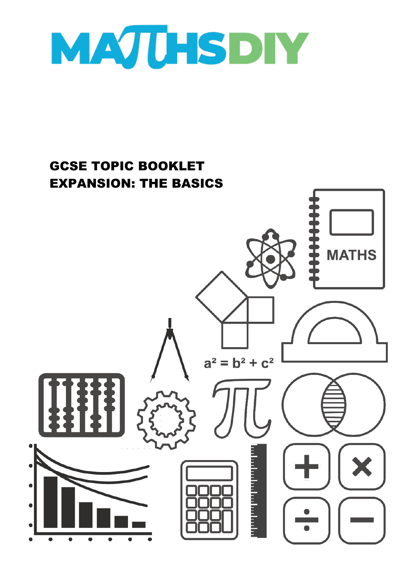

## GCSE TOPIC BOOKLET EXPANSION: THE BASICS**MATHS**  $a^2 = b^2 + c^2$ m m m m m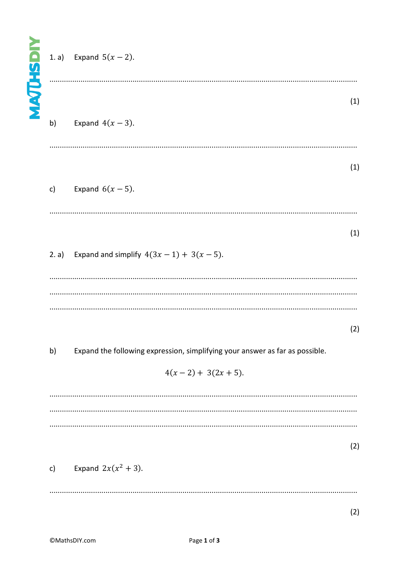## Expand  $5(x - 2)$ .  $1. a)$  $(1)$ Expand  $4(x-3)$ .  $b)$  $(1)$ Expand  $6(x-5)$ .  $c)$  $(1)$ Expand and simplify  $4(3x-1) + 3(x - 5)$ .  $2. a)$  $(2)$  $b)$ Expand the following expression, simplifying your answer as far as possible.  $4(x-2) + 3(2x + 5)$ .  $(2)$

Expand  $2x(x^2+3)$ .  $\mathsf{c}$ )

 $(2)$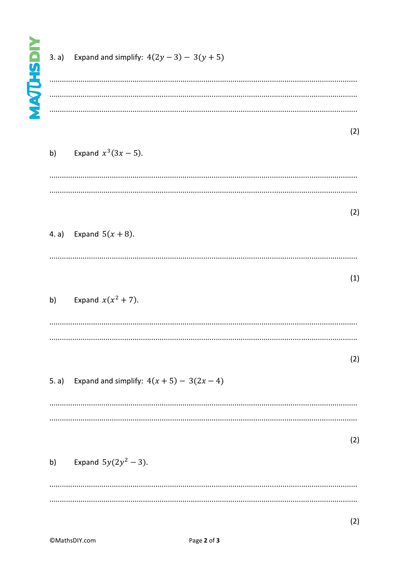|       | 3. a) Expand and simplify: $4(2y - 3) - 3(y + 5)$ |     |
|-------|---------------------------------------------------|-----|
|       |                                                   | (2) |
| b)    | Expand $x^3(3x - 5)$ .                            |     |
|       |                                                   | (2) |
|       | 4. a) Expand $5(x + 8)$ .                         | (1) |
| b)    | Expand $x(x^2 + 7)$ .                             |     |
|       |                                                   | (2) |
| 5. a) | Expand and simplify: $4(x + 5) - 3(2x - 4)$       |     |
|       |                                                   | (2) |